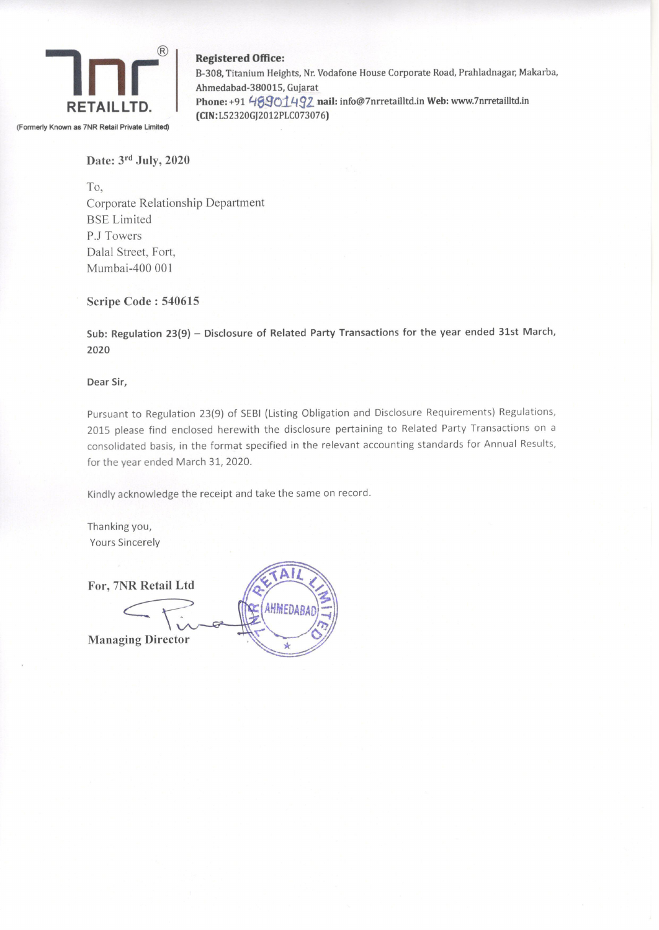

Registered Office:

B-308, Titanium Heights, Nr. Vodafone House Corporate Road, Prahladnagar, Makarba, Ahmedabad-380015, Gujarat RETAILLTD. Phone: +91 46901492 nail: info@7nrretailltd.in Web: www.7nrretailltd.in (CIN:L52320GJ2012PLC073076)

Date: 3rd July, 2020

To, Corporate Relationship Department BSE Limited P.J Towers Dalal Street, Fort, Mumbai-400 001

## Scripe Code : 540615

Sub: Regulation 23(9) — Disclosure of Related Party Transactions for the year ended 31st March, 2020

Dear Sir,

Pursuant to Regulation 23(9) of SEBI (Listing Obligation and Disclosure Requirements) Regulations, 2015 please find enclosed herewith the disclosure pertaining to Related Party Transactions on a consolidated basis, in the format specified in the relevant accounting standards for Annual Results, for the year ended March 31, 2020.

Kindly acknowledge the receipt and take the same on record.

Thanking you, Yours Sincerely

Managing Director

For, 7NR Retail Ltd<br>
Managing Director